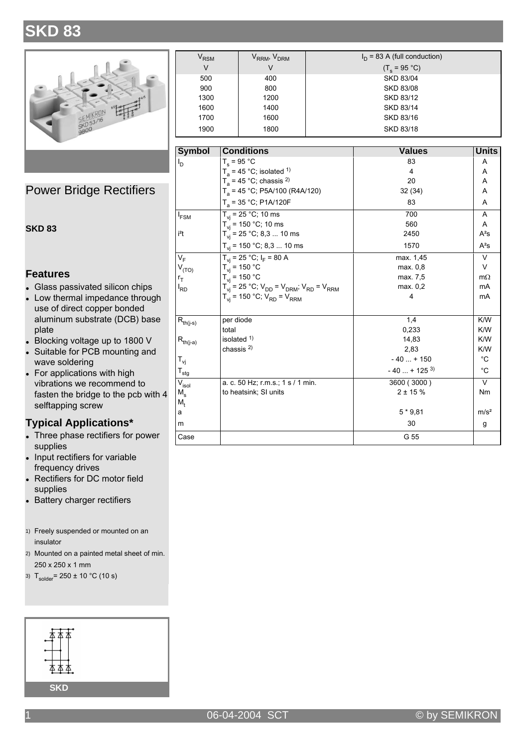## **SKD 83**



**Power Bridge Rectifiers** 

#### **SKD 83**

#### **Features**

- Glass passivated silicon chips
- Low thermal impedance through  $\bullet$ use of direct copper bonded aluminum substrate (DCB) base plate
- Blocking voltage up to 1800 V
- Suitable for PCB mounting and wave soldering
- For applications with high vibrations we recommend to fasten the bridge to the pcb with 4 selftapping screw

### **Typical Applications\***

- Three phase rectifiers for power supplies
- Input rectifiers for variable frequency drives
- Rectifiers for DC motor field supplies
- Battery charger rectifiers

1) Freely suspended or mounted on an insulator

2) Mounted on a painted metal sheet of min. 250 x 250 x 1 mm

3)  $T_{\text{solder}} = 250 \pm 10 \degree C (10 \text{ s})$ 



| $\bm{{\mathsf{V}}}_{\mathsf{RSM}}$ | V <sub>rrm</sub> , V <sub>drm</sub> | $I_D$ = 83 A (full conduction) |
|------------------------------------|-------------------------------------|--------------------------------|
| V                                  | V                                   | $(T_e = 95 °C)$                |
| 500                                | 400                                 | <b>SKD 83/04</b>               |
| 900                                | 800                                 | <b>SKD 83/08</b>               |
| 1300                               | 1200                                | SKD 83/12                      |
| 1600                               | 1400                                | <b>SKD 83/14</b>               |
| 1700                               | 1600                                | SKD 83/16                      |
| 1900                               | 1800                                | SKD 83/18                      |

| <b>Symbol</b>      | <b>Conditions</b>                                             | <b>Values</b>             | <b>Units</b>     |
|--------------------|---------------------------------------------------------------|---------------------------|------------------|
| $I_{\text{D}}$     | $T_c = 95 °C$                                                 | 83                        | A                |
|                    | $T_a$ = 45 °C; isolated <sup>1)</sup>                         | 4                         | A                |
|                    | $T_a$ = 45 °C; chassis <sup>2)</sup>                          | 20                        | A                |
|                    | $T_a$ = 45 °C; P5A/100 (R4A/120)                              | 32(34)                    | A                |
|                    | $T_a$ = 35 °C; P1A/120F                                       | 83                        | A                |
| $I_{FSM}$          | $T_{vi} = 25 °C$ ; 10 ms                                      | 700                       | A                |
|                    | $T_{vi}$ = 150 °C; 10 ms                                      | 560                       | A                |
| i <sup>2</sup> t   | $T_{vi}$ = 25 °C; 8,3  10 ms                                  | 2450                      | $A^2S$           |
|                    | $T_{vi}$ = 150 °C; 8,3  10 ms                                 | 1570                      | $A^2S$           |
| $V_F$              | $T_{vi}$ = 25 °C; $I_F$ = 80 A                                | max. 1,45                 | $\vee$           |
| $V^{\rm (LO)}$     | $T_{vi}$ = 150 °C                                             | max. 0,8                  | $\vee$           |
| $r_{\text{T}}$     | $T_{vi}$ = 150 °C                                             | max. 7,5                  | $m\Omega$        |
| $I_{RD}$           | $T_{vi}$ = 25 °C; $V_{DD}$ = $V_{DRM}$ ; $V_{RD}$ = $V_{RRM}$ | max. 0,2                  | mA               |
|                    | $T_{vi}$ = 150 °C; $V_{RD}$ = $V_{RRM}$                       | 4                         | mA               |
| $R_{th(j-s)}$      | per diode                                                     | 1,4                       | K/W              |
|                    | total                                                         | 0,233                     | K/W              |
| $R_{th(j-a)}$      | isolated $1$ )                                                | 14,83                     | K/W              |
|                    | chassis $^{2)}$                                               | 2,83                      | K/W              |
| $T_{\mathsf{vj}}$  |                                                               | $-40+150$                 | $^{\circ}C$      |
| $T_{\text{stg}}$   |                                                               | $-40$ + 125 <sup>3)</sup> | $^{\circ}C$      |
| $\rm V_{\rm isol}$ | a. c. 50 Hz; r.m.s.; 1 s / 1 min.                             | 3600 (3000)               | $\vee$           |
| $M_{\rm c}$        | to heatsink; SI units                                         | $2 + 15%$                 | <b>Nm</b>        |
| M,                 |                                                               |                           |                  |
| а                  |                                                               | $5*9.81$                  | m/s <sup>2</sup> |
| m                  |                                                               | 30                        | g                |
| Case               |                                                               | G 55                      |                  |

### © by SEMIKRON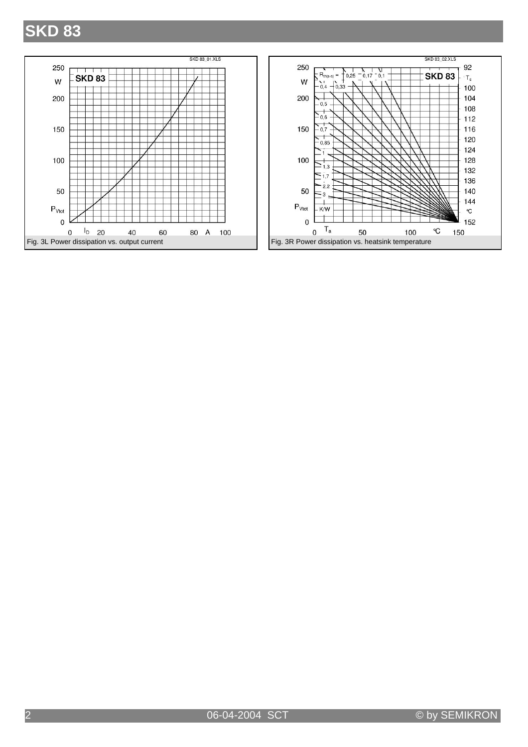# **SKD 83**